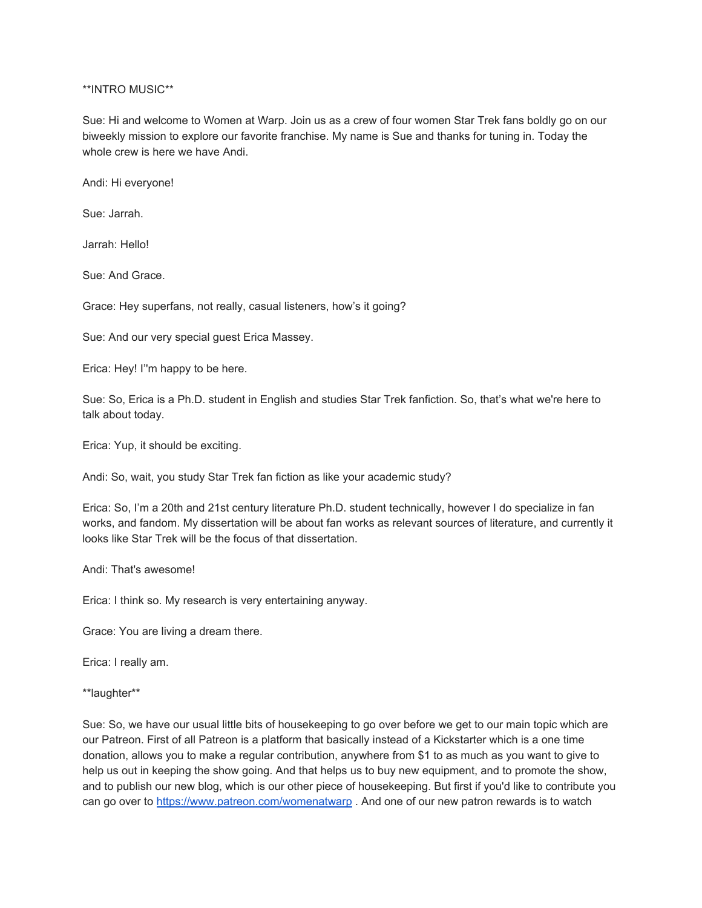\*\*INTRO MUSIC\*\*

Sue: Hi and welcome to Women at Warp. Join us as a crew of four women Star Trek fans boldly go on our biweekly mission to explore our favorite franchise. My name is Sue and thanks for tuning in. Today the whole crew is here we have Andi.

Andi: Hi everyone!

Sue: Jarrah.

Jarrah: Hello!

Sue: And Grace.

Grace: Hey superfans, not really, casual listeners, how's it going?

Sue: And our very special guest Erica Massey.

Erica: Hey! I''m happy to be here.

Sue: So, Erica is a Ph.D. student in English and studies Star Trek fanfiction. So, that's what we're here to talk about today.

Erica: Yup, it should be exciting.

Andi: So, wait, you study Star Trek fan fiction as like your academic study?

Erica: So, I'm a 20th and 21st century literature Ph.D. student technically, however I do specialize in fan works, and fandom. My dissertation will be about fan works as relevant sources of literature, and currently it looks like Star Trek will be the focus of that dissertation.

Andi: That's awesome!

Erica: I think so. My research is very entertaining anyway.

Grace: You are living a dream there.

Erica: I really am.

\*\*laughter\*\*

Sue: So, we have our usual little bits of housekeeping to go over before we get to our main topic which are our Patreon. First of all Patreon is a platform that basically instead of a Kickstarter which is a one time donation, allows you to make a regular contribution, anywhere from \$1 to as much as you want to give to help us out in keeping the show going. And that helps us to buy new equipment, and to promote the show, and to publish our new blog, which is our other piece of housekeeping. But first if you'd like to contribute you can go over to<https://www.patreon.com/womenatwarp>. And one of our new patron rewards is to watch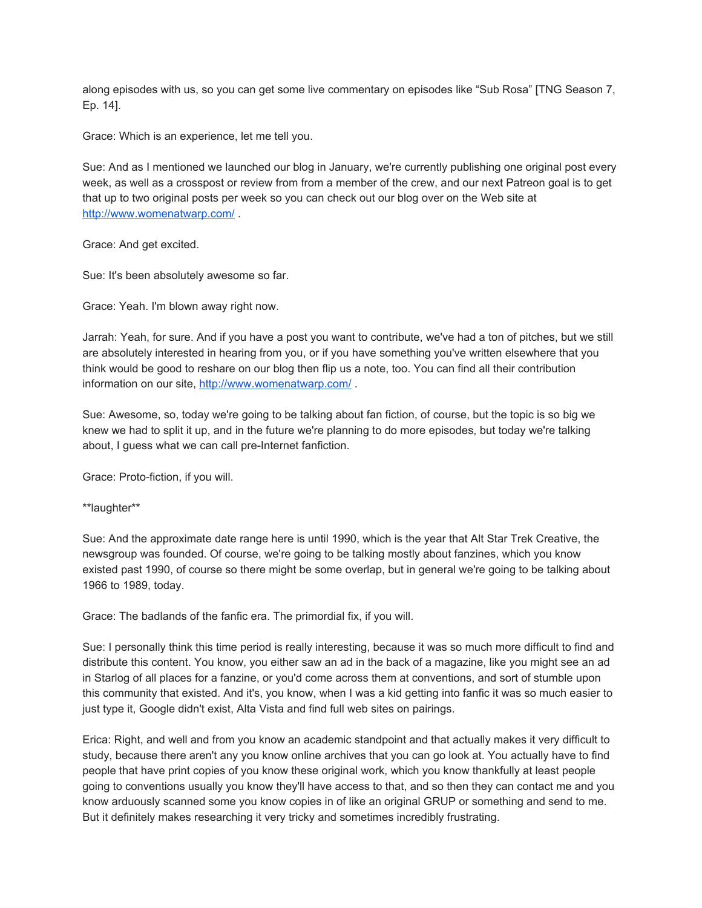along episodes with us, so you can get some live commentary on episodes like "Sub Rosa" [TNG Season 7, Ep. 14].

Grace: Which is an experience, let me tell you.

Sue: And as I mentioned we launched our blog in January, we're currently publishing one original post every week, as well as a crosspost or review from from a member of the crew, and our next Patreon goal is to get that up to two original posts per week so you can check out our blog over on the Web site at <http://www.womenatwarp.com/>.

Grace: And get excited.

Sue: It's been absolutely awesome so far.

Grace: Yeah. I'm blown away right now.

Jarrah: Yeah, for sure. And if you have a post you want to contribute, we've had a ton of pitches, but we still are absolutely interested in hearing from you, or if you have something you've written elsewhere that you think would be good to reshare on our blog then flip us a note, too. You can find all their contribution information on our site,<http://www.womenatwarp.com/>.

Sue: Awesome, so, today we're going to be talking about fan fiction, of course, but the topic is so big we knew we had to split it up, and in the future we're planning to do more episodes, but today we're talking about, I guess what we can call pre-Internet fanfiction.

Grace: Proto-fiction, if you will.

\*\*laughter\*\*

Sue: And the approximate date range here is until 1990, which is the year that Alt Star Trek Creative, the newsgroup was founded. Of course, we're going to be talking mostly about fanzines, which you know existed past 1990, of course so there might be some overlap, but in general we're going to be talking about 1966 to 1989, today.

Grace: The badlands of the fanfic era. The primordial fix, if you will.

Sue: I personally think this time period is really interesting, because it was so much more difficult to find and distribute this content. You know, you either saw an ad in the back of a magazine, like you might see an ad in Starlog of all places for a fanzine, or you'd come across them at conventions, and sort of stumble upon this community that existed. And it's, you know, when I was a kid getting into fanfic it was so much easier to just type it, Google didn't exist, Alta Vista and find full web sites on pairings.

Erica: Right, and well and from you know an academic standpoint and that actually makes it very difficult to study, because there aren't any you know online archives that you can go look at. You actually have to find people that have print copies of you know these original work, which you know thankfully at least people going to conventions usually you know they'll have access to that, and so then they can contact me and you know arduously scanned some you know copies in of like an original GRUP or something and send to me. But it definitely makes researching it very tricky and sometimes incredibly frustrating.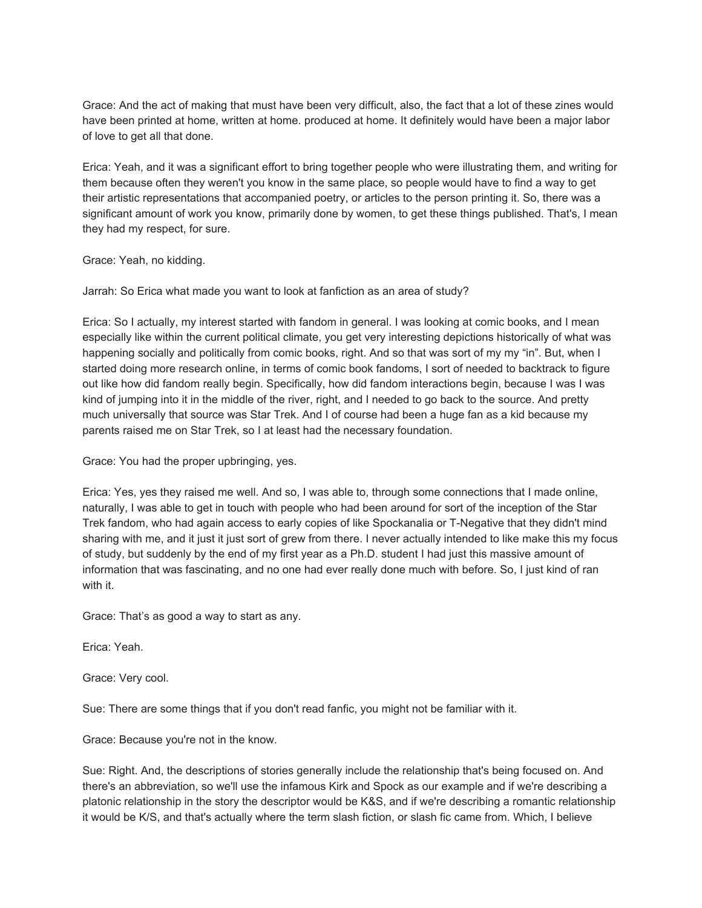Grace: And the act of making that must have been very difficult, also, the fact that a lot of these zines would have been printed at home, written at home. produced at home. It definitely would have been a major labor of love to get all that done.

Erica: Yeah, and it was a significant effort to bring together people who were illustrating them, and writing for them because often they weren't you know in the same place, so people would have to find a way to get their artistic representations that accompanied poetry, or articles to the person printing it. So, there was a significant amount of work you know, primarily done by women, to get these things published. That's, I mean they had my respect, for sure.

Grace: Yeah, no kidding.

Jarrah: So Erica what made you want to look at fanfiction as an area of study?

Erica: So I actually, my interest started with fandom in general. I was looking at comic books, and I mean especially like within the current political climate, you get very interesting depictions historically of what was happening socially and politically from comic books, right. And so that was sort of my my "in". But, when I started doing more research online, in terms of comic book fandoms, I sort of needed to backtrack to figure out like how did fandom really begin. Specifically, how did fandom interactions begin, because I was I was kind of jumping into it in the middle of the river, right, and I needed to go back to the source. And pretty much universally that source was Star Trek. And I of course had been a huge fan as a kid because my parents raised me on Star Trek, so I at least had the necessary foundation.

Grace: You had the proper upbringing, yes.

Erica: Yes, yes they raised me well. And so, I was able to, through some connections that I made online, naturally, I was able to get in touch with people who had been around for sort of the inception of the Star Trek fandom, who had again access to early copies of like Spockanalia or T-Negative that they didn't mind sharing with me, and it just it just sort of grew from there. I never actually intended to like make this my focus of study, but suddenly by the end of my first year as a Ph.D. student I had just this massive amount of information that was fascinating, and no one had ever really done much with before. So, I just kind of ran with it.

Grace: That's as good a way to start as any.

Erica: Yeah.

Grace: Very cool.

Sue: There are some things that if you don't read fanfic, you might not be familiar with it.

Grace: Because you're not in the know.

Sue: Right. And, the descriptions of stories generally include the relationship that's being focused on. And there's an abbreviation, so we'll use the infamous Kirk and Spock as our example and if we're describing a platonic relationship in the story the descriptor would be K&S, and if we're describing a romantic relationship it would be K/S, and that's actually where the term slash fiction, or slash fic came from. Which, I believe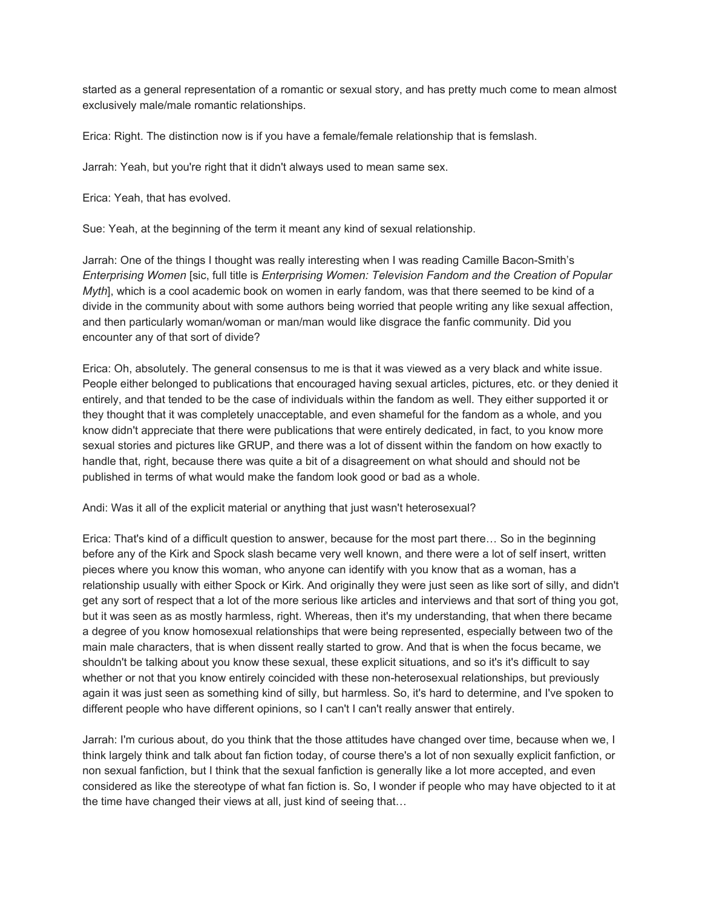started as a general representation of a romantic or sexual story, and has pretty much come to mean almost exclusively male/male romantic relationships.

Erica: Right. The distinction now is if you have a female/female relationship that is femslash.

Jarrah: Yeah, but you're right that it didn't always used to mean same sex.

Erica: Yeah, that has evolved.

Sue: Yeah, at the beginning of the term it meant any kind of sexual relationship.

Jarrah: One of the things I thought was really interesting when I was reading Camille Bacon-Smith's *Enterprising Women* [sic, full title is *Enterprising Women: Television Fandom and the Creation of Popular Myth*], which is a cool academic book on women in early fandom, was that there seemed to be kind of a divide in the community about with some authors being worried that people writing any like sexual affection, and then particularly woman/woman or man/man would like disgrace the fanfic community. Did you encounter any of that sort of divide?

Erica: Oh, absolutely. The general consensus to me is that it was viewed as a very black and white issue. People either belonged to publications that encouraged having sexual articles, pictures, etc. or they denied it entirely, and that tended to be the case of individuals within the fandom as well. They either supported it or they thought that it was completely unacceptable, and even shameful for the fandom as a whole, and you know didn't appreciate that there were publications that were entirely dedicated, in fact, to you know more sexual stories and pictures like GRUP, and there was a lot of dissent within the fandom on how exactly to handle that, right, because there was quite a bit of a disagreement on what should and should not be published in terms of what would make the fandom look good or bad as a whole.

Andi: Was it all of the explicit material or anything that just wasn't heterosexual?

Erica: That's kind of a difficult question to answer, because for the most part there… So in the beginning before any of the Kirk and Spock slash became very well known, and there were a lot of self insert, written pieces where you know this woman, who anyone can identify with you know that as a woman, has a relationship usually with either Spock or Kirk. And originally they were just seen as like sort of silly, and didn't get any sort of respect that a lot of the more serious like articles and interviews and that sort of thing you got, but it was seen as as mostly harmless, right. Whereas, then it's my understanding, that when there became a degree of you know homosexual relationships that were being represented, especially between two of the main male characters, that is when dissent really started to grow. And that is when the focus became, we shouldn't be talking about you know these sexual, these explicit situations, and so it's it's difficult to say whether or not that you know entirely coincided with these non-heterosexual relationships, but previously again it was just seen as something kind of silly, but harmless. So, it's hard to determine, and I've spoken to different people who have different opinions, so I can't I can't really answer that entirely.

Jarrah: I'm curious about, do you think that the those attitudes have changed over time, because when we, I think largely think and talk about fan fiction today, of course there's a lot of non sexually explicit fanfiction, or non sexual fanfiction, but I think that the sexual fanfiction is generally like a lot more accepted, and even considered as like the stereotype of what fan fiction is. So, I wonder if people who may have objected to it at the time have changed their views at all, just kind of seeing that…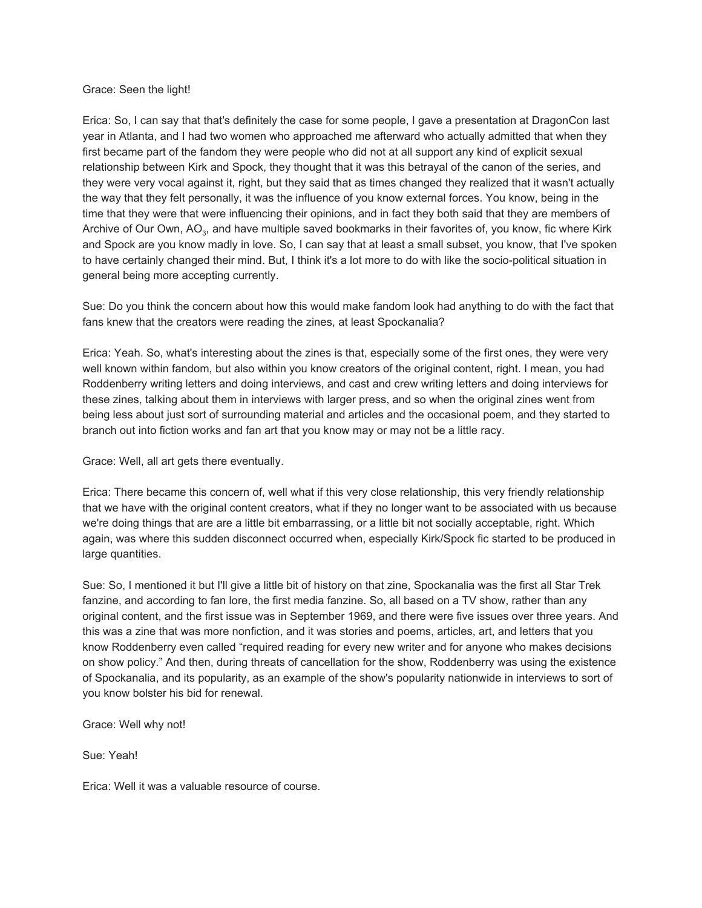### Grace: Seen the light!

Erica: So, I can say that that's definitely the case for some people, I gave a presentation at DragonCon last year in Atlanta, and I had two women who approached me afterward who actually admitted that when they first became part of the fandom they were people who did not at all support any kind of explicit sexual relationship between Kirk and Spock, they thought that it was this betrayal of the canon of the series, and they were very vocal against it, right, but they said that as times changed they realized that it wasn't actually the way that they felt personally, it was the influence of you know external forces. You know, being in the time that they were that were influencing their opinions, and in fact they both said that they are members of Archive of Our Own, AO<sub>3</sub>, and have multiple saved bookmarks in their favorites of, you know, fic where Kirk and Spock are you know madly in love. So, I can say that at least a small subset, you know, that I've spoken to have certainly changed their mind. But, I think it's a lot more to do with like the socio-political situation in general being more accepting currently.

Sue: Do you think the concern about how this would make fandom look had anything to do with the fact that fans knew that the creators were reading the zines, at least Spockanalia?

Erica: Yeah. So, what's interesting about the zines is that, especially some of the first ones, they were very well known within fandom, but also within you know creators of the original content, right. I mean, you had Roddenberry writing letters and doing interviews, and cast and crew writing letters and doing interviews for these zines, talking about them in interviews with larger press, and so when the original zines went from being less about just sort of surrounding material and articles and the occasional poem, and they started to branch out into fiction works and fan art that you know may or may not be a little racy.

Grace: Well, all art gets there eventually.

Erica: There became this concern of, well what if this very close relationship, this very friendly relationship that we have with the original content creators, what if they no longer want to be associated with us because we're doing things that are are a little bit embarrassing, or a little bit not socially acceptable, right. Which again, was where this sudden disconnect occurred when, especially Kirk/Spock fic started to be produced in large quantities.

Sue: So, I mentioned it but I'll give a little bit of history on that zine, Spockanalia was the first all Star Trek fanzine, and according to fan lore, the first media fanzine. So, all based on a TV show, rather than any original content, and the first issue was in September 1969, and there were five issues over three years. And this was a zine that was more nonfiction, and it was stories and poems, articles, art, and letters that you know Roddenberry even called "required reading for every new writer and for anyone who makes decisions on show policy." And then, during threats of cancellation for the show, Roddenberry was using the existence of Spockanalia, and its popularity, as an example of the show's popularity nationwide in interviews to sort of you know bolster his bid for renewal.

Grace: Well why not!

Sue: Yeah!

Erica: Well it was a valuable resource of course.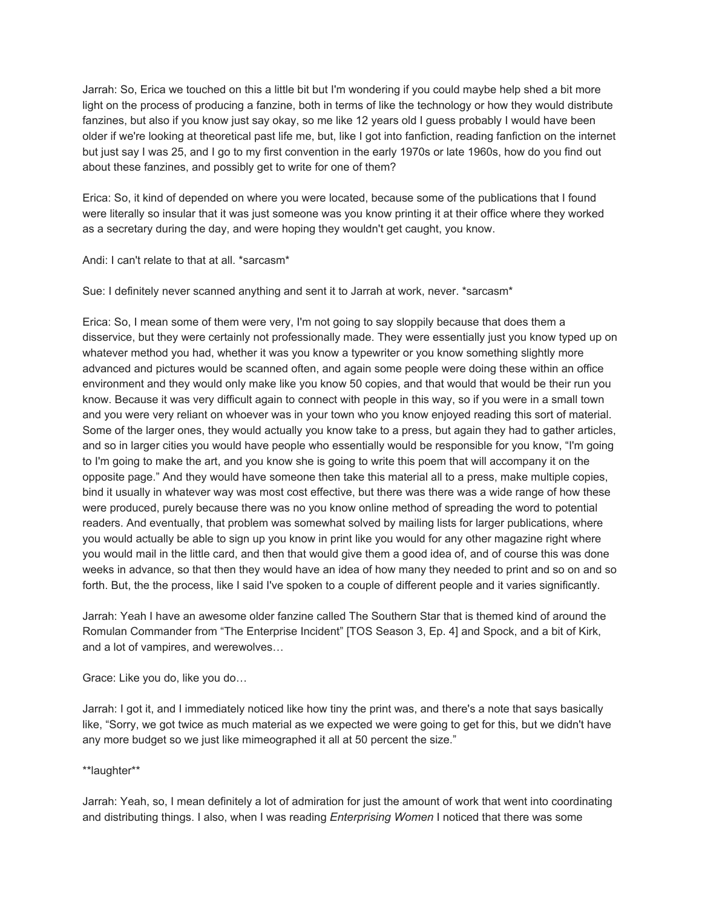Jarrah: So, Erica we touched on this a little bit but I'm wondering if you could maybe help shed a bit more light on the process of producing a fanzine, both in terms of like the technology or how they would distribute fanzines, but also if you know just say okay, so me like 12 years old I guess probably I would have been older if we're looking at theoretical past life me, but, like I got into fanfiction, reading fanfiction on the internet but just say I was 25, and I go to my first convention in the early 1970s or late 1960s, how do you find out about these fanzines, and possibly get to write for one of them?

Erica: So, it kind of depended on where you were located, because some of the publications that I found were literally so insular that it was just someone was you know printing it at their office where they worked as a secretary during the day, and were hoping they wouldn't get caught, you know.

Andi: I can't relate to that at all. \*sarcasm\*

Sue: I definitely never scanned anything and sent it to Jarrah at work, never. \*sarcasm\*

Erica: So, I mean some of them were very, I'm not going to say sloppily because that does them a disservice, but they were certainly not professionally made. They were essentially just you know typed up on whatever method you had, whether it was you know a typewriter or you know something slightly more advanced and pictures would be scanned often, and again some people were doing these within an office environment and they would only make like you know 50 copies, and that would that would be their run you know. Because it was very difficult again to connect with people in this way, so if you were in a small town and you were very reliant on whoever was in your town who you know enjoyed reading this sort of material. Some of the larger ones, they would actually you know take to a press, but again they had to gather articles, and so in larger cities you would have people who essentially would be responsible for you know, "I'm going to I'm going to make the art, and you know she is going to write this poem that will accompany it on the opposite page." And they would have someone then take this material all to a press, make multiple copies, bind it usually in whatever way was most cost effective, but there was there was a wide range of how these were produced, purely because there was no you know online method of spreading the word to potential readers. And eventually, that problem was somewhat solved by mailing lists for larger publications, where you would actually be able to sign up you know in print like you would for any other magazine right where you would mail in the little card, and then that would give them a good idea of, and of course this was done weeks in advance, so that then they would have an idea of how many they needed to print and so on and so forth. But, the the process, like I said I've spoken to a couple of different people and it varies significantly.

Jarrah: Yeah I have an awesome older fanzine called The Southern Star that is themed kind of around the Romulan Commander from "The Enterprise Incident" [TOS Season 3, Ep. 4] and Spock, and a bit of Kirk, and a lot of vampires, and werewolves…

Grace: Like you do, like you do…

Jarrah: I got it, and I immediately noticed like how tiny the print was, and there's a note that says basically like, "Sorry, we got twice as much material as we expected we were going to get for this, but we didn't have any more budget so we just like mimeographed it all at 50 percent the size."

\*\*laughter\*\*

Jarrah: Yeah, so, I mean definitely a lot of admiration for just the amount of work that went into coordinating and distributing things. I also, when I was reading *Enterprising Women* I noticed that there was some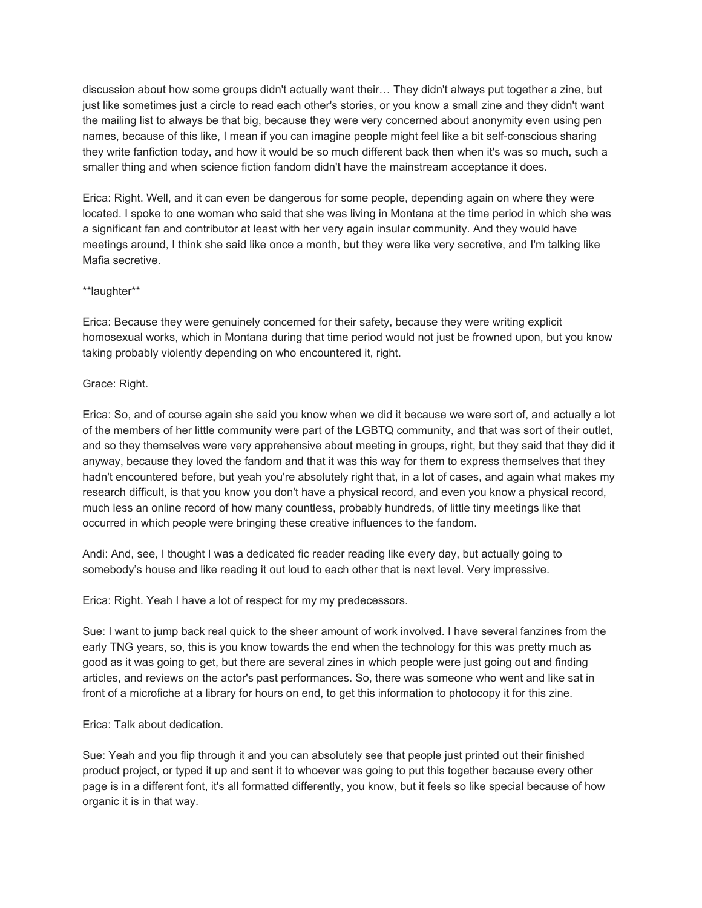discussion about how some groups didn't actually want their… They didn't always put together a zine, but just like sometimes just a circle to read each other's stories, or you know a small zine and they didn't want the mailing list to always be that big, because they were very concerned about anonymity even using pen names, because of this like, I mean if you can imagine people might feel like a bit self-conscious sharing they write fanfiction today, and how it would be so much different back then when it's was so much, such a smaller thing and when science fiction fandom didn't have the mainstream acceptance it does.

Erica: Right. Well, and it can even be dangerous for some people, depending again on where they were located. I spoke to one woman who said that she was living in Montana at the time period in which she was a significant fan and contributor at least with her very again insular community. And they would have meetings around, I think she said like once a month, but they were like very secretive, and I'm talking like Mafia secretive.

# \*\*laughter\*\*

Erica: Because they were genuinely concerned for their safety, because they were writing explicit homosexual works, which in Montana during that time period would not just be frowned upon, but you know taking probably violently depending on who encountered it, right.

# Grace: Right.

Erica: So, and of course again she said you know when we did it because we were sort of, and actually a lot of the members of her little community were part of the LGBTQ community, and that was sort of their outlet, and so they themselves were very apprehensive about meeting in groups, right, but they said that they did it anyway, because they loved the fandom and that it was this way for them to express themselves that they hadn't encountered before, but yeah you're absolutely right that, in a lot of cases, and again what makes my research difficult, is that you know you don't have a physical record, and even you know a physical record, much less an online record of how many countless, probably hundreds, of little tiny meetings like that occurred in which people were bringing these creative influences to the fandom.

Andi: And, see, I thought I was a dedicated fic reader reading like every day, but actually going to somebody's house and like reading it out loud to each other that is next level. Very impressive.

Erica: Right. Yeah I have a lot of respect for my my predecessors.

Sue: I want to jump back real quick to the sheer amount of work involved. I have several fanzines from the early TNG years, so, this is you know towards the end when the technology for this was pretty much as good as it was going to get, but there are several zines in which people were just going out and finding articles, and reviews on the actor's past performances. So, there was someone who went and like sat in front of a microfiche at a library for hours on end, to get this information to photocopy it for this zine.

Erica: Talk about dedication.

Sue: Yeah and you flip through it and you can absolutely see that people just printed out their finished product project, or typed it up and sent it to whoever was going to put this together because every other page is in a different font, it's all formatted differently, you know, but it feels so like special because of how organic it is in that way.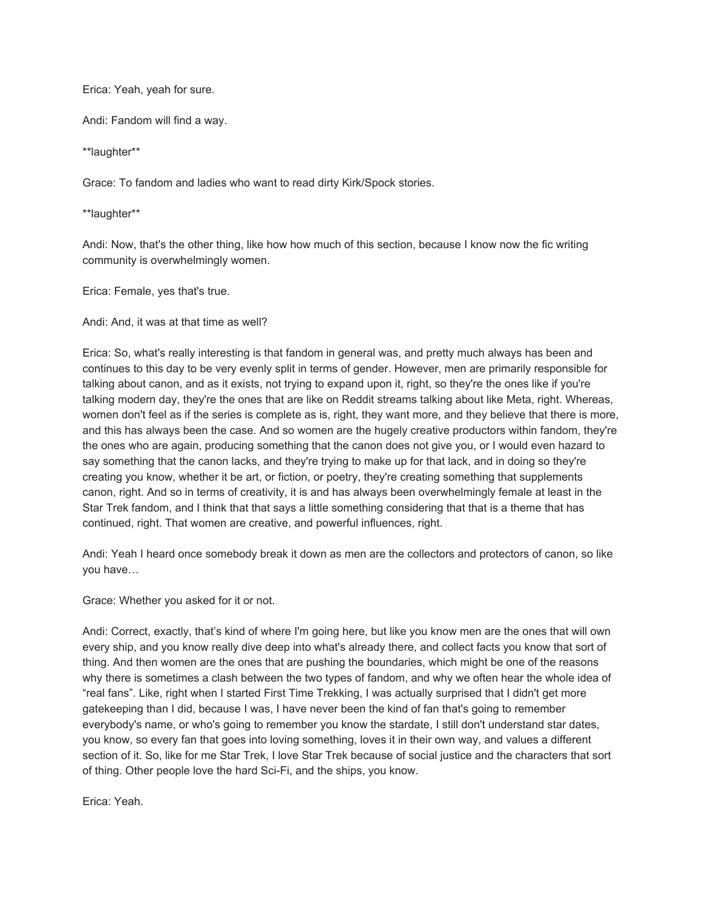Erica: Yeah, yeah for sure.

Andi: Fandom will find a way.

\*\*laughter\*\*

Grace: To fandom and ladies who want to read dirty Kirk/Spock stories.

\*\*laughter\*\*

Andi: Now, that's the other thing, like how how much of this section, because I know now the fic writing community is overwhelmingly women.

Erica: Female, yes that's true.

Andi: And, it was at that time as well?

Erica: So, what's really interesting is that fandom in general was, and pretty much always has been and continues to this day to be very evenly split in terms of gender. However, men are primarily responsible for talking about canon, and as it exists, not trying to expand upon it, right, so they're the ones like if you're talking modern day, they're the ones that are like on Reddit streams talking about like Meta, right. Whereas, women don't feel as if the series is complete as is, right, they want more, and they believe that there is more, and this has always been the case. And so women are the hugely creative productors within fandom, they're the ones who are again, producing something that the canon does not give you, or I would even hazard to say something that the canon lacks, and they're trying to make up for that lack, and in doing so they're creating you know, whether it be art, or fiction, or poetry, they're creating something that supplements canon, right. And so in terms of creativity, it is and has always been overwhelmingly female at least in the Star Trek fandom, and I think that that says a little something considering that that is a theme that has continued, right. That women are creative, and powerful influences, right.

Andi: Yeah I heard once somebody break it down as men are the collectors and protectors of canon, so like you have…

Grace: Whether you asked for it or not.

Andi: Correct, exactly, that's kind of where I'm going here, but like you know men are the ones that will own every ship, and you know really dive deep into what's already there, and collect facts you know that sort of thing. And then women are the ones that are pushing the boundaries, which might be one of the reasons why there is sometimes a clash between the two types of fandom, and why we often hear the whole idea of "real fans". Like, right when I started First Time Trekking, I was actually surprised that I didn't get more gatekeeping than I did, because I was, I have never been the kind of fan that's going to remember everybody's name, or who's going to remember you know the stardate, I still don't understand star dates, you know, so every fan that goes into loving something, loves it in their own way, and values a different section of it. So, like for me Star Trek, I love Star Trek because of social justice and the characters that sort of thing. Other people love the hard Sci-Fi, and the ships, you know.

Erica: Yeah.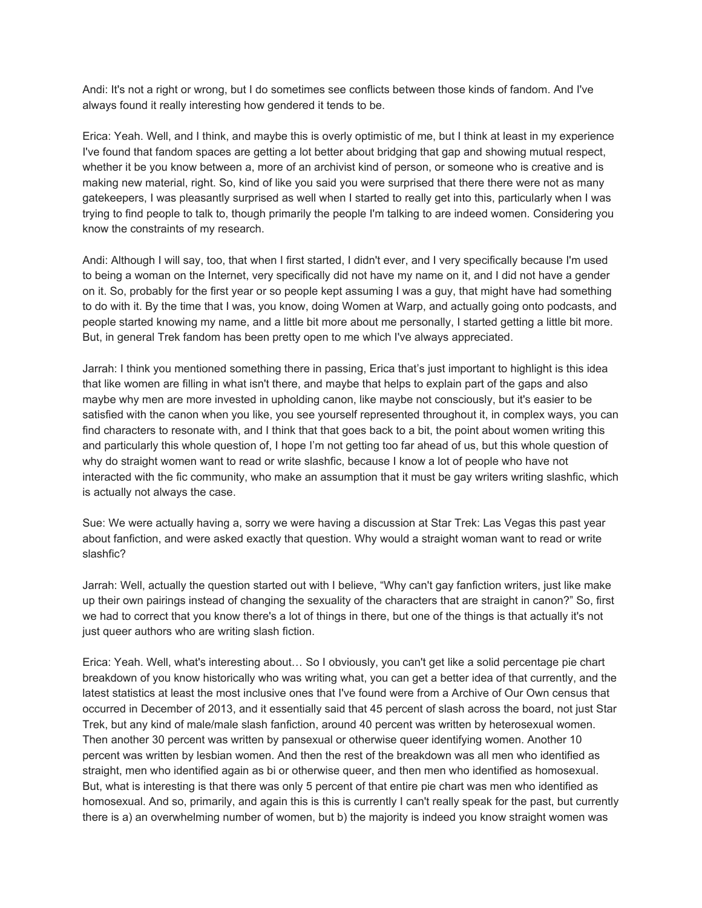Andi: It's not a right or wrong, but I do sometimes see conflicts between those kinds of fandom. And I've always found it really interesting how gendered it tends to be.

Erica: Yeah. Well, and I think, and maybe this is overly optimistic of me, but I think at least in my experience I've found that fandom spaces are getting a lot better about bridging that gap and showing mutual respect, whether it be you know between a, more of an archivist kind of person, or someone who is creative and is making new material, right. So, kind of like you said you were surprised that there there were not as many gatekeepers, I was pleasantly surprised as well when I started to really get into this, particularly when I was trying to find people to talk to, though primarily the people I'm talking to are indeed women. Considering you know the constraints of my research.

Andi: Although I will say, too, that when I first started, I didn't ever, and I very specifically because I'm used to being a woman on the Internet, very specifically did not have my name on it, and I did not have a gender on it. So, probably for the first year or so people kept assuming I was a guy, that might have had something to do with it. By the time that I was, you know, doing Women at Warp, and actually going onto podcasts, and people started knowing my name, and a little bit more about me personally, I started getting a little bit more. But, in general Trek fandom has been pretty open to me which I've always appreciated.

Jarrah: I think you mentioned something there in passing, Erica that's just important to highlight is this idea that like women are filling in what isn't there, and maybe that helps to explain part of the gaps and also maybe why men are more invested in upholding canon, like maybe not consciously, but it's easier to be satisfied with the canon when you like, you see yourself represented throughout it, in complex ways, you can find characters to resonate with, and I think that that goes back to a bit, the point about women writing this and particularly this whole question of, I hope I'm not getting too far ahead of us, but this whole question of why do straight women want to read or write slashfic, because I know a lot of people who have not interacted with the fic community, who make an assumption that it must be gay writers writing slashfic, which is actually not always the case.

Sue: We were actually having a, sorry we were having a discussion at Star Trek: Las Vegas this past year about fanfiction, and were asked exactly that question. Why would a straight woman want to read or write slashfic?

Jarrah: Well, actually the question started out with I believe, "Why can't gay fanfiction writers, just like make up their own pairings instead of changing the sexuality of the characters that are straight in canon?" So, first we had to correct that you know there's a lot of things in there, but one of the things is that actually it's not just queer authors who are writing slash fiction.

Erica: Yeah. Well, what's interesting about… So I obviously, you can't get like a solid percentage pie chart breakdown of you know historically who was writing what, you can get a better idea of that currently, and the latest statistics at least the most inclusive ones that I've found were from a Archive of Our Own census that occurred in December of 2013, and it essentially said that 45 percent of slash across the board, not just Star Trek, but any kind of male/male slash fanfiction, around 40 percent was written by heterosexual women. Then another 30 percent was written by pansexual or otherwise queer identifying women. Another 10 percent was written by lesbian women. And then the rest of the breakdown was all men who identified as straight, men who identified again as bi or otherwise queer, and then men who identified as homosexual. But, what is interesting is that there was only 5 percent of that entire pie chart was men who identified as homosexual. And so, primarily, and again this is this is currently I can't really speak for the past, but currently there is a) an overwhelming number of women, but b) the majority is indeed you know straight women was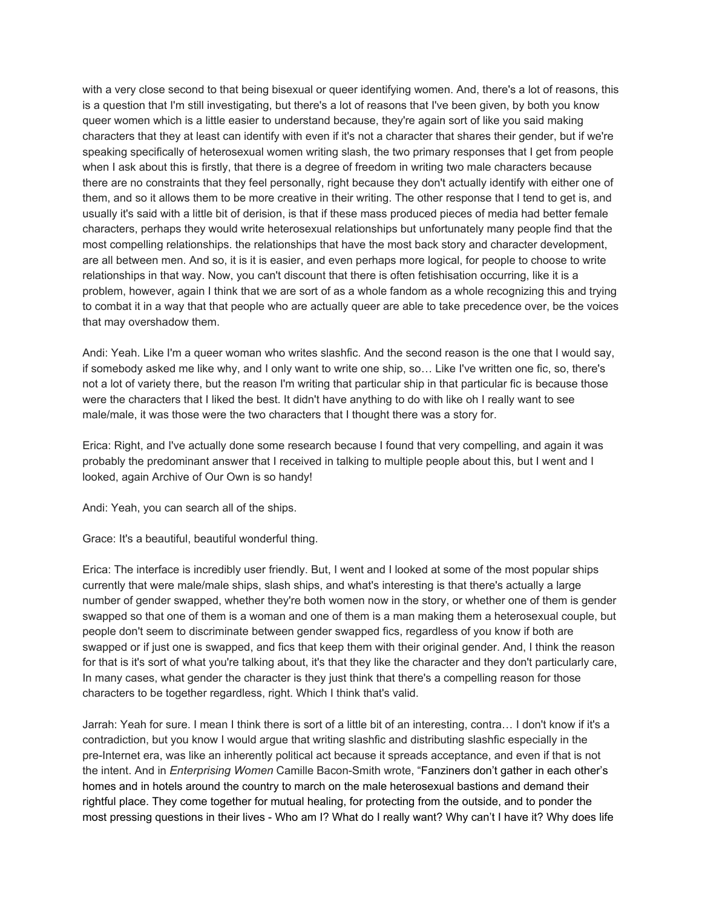with a very close second to that being bisexual or queer identifying women. And, there's a lot of reasons, this is a question that I'm still investigating, but there's a lot of reasons that I've been given, by both you know queer women which is a little easier to understand because, they're again sort of like you said making characters that they at least can identify with even if it's not a character that shares their gender, but if we're speaking specifically of heterosexual women writing slash, the two primary responses that I get from people when I ask about this is firstly, that there is a degree of freedom in writing two male characters because there are no constraints that they feel personally, right because they don't actually identify with either one of them, and so it allows them to be more creative in their writing. The other response that I tend to get is, and usually it's said with a little bit of derision, is that if these mass produced pieces of media had better female characters, perhaps they would write heterosexual relationships but unfortunately many people find that the most compelling relationships. the relationships that have the most back story and character development, are all between men. And so, it is it is easier, and even perhaps more logical, for people to choose to write relationships in that way. Now, you can't discount that there is often fetishisation occurring, like it is a problem, however, again I think that we are sort of as a whole fandom as a whole recognizing this and trying to combat it in a way that that people who are actually queer are able to take precedence over, be the voices that may overshadow them.

Andi: Yeah. Like I'm a queer woman who writes slashfic. And the second reason is the one that I would say, if somebody asked me like why, and I only want to write one ship, so… Like I've written one fic, so, there's not a lot of variety there, but the reason I'm writing that particular ship in that particular fic is because those were the characters that I liked the best. It didn't have anything to do with like oh I really want to see male/male, it was those were the two characters that I thought there was a story for.

Erica: Right, and I've actually done some research because I found that very compelling, and again it was probably the predominant answer that I received in talking to multiple people about this, but I went and I looked, again Archive of Our Own is so handy!

Andi: Yeah, you can search all of the ships.

Grace: It's a beautiful, beautiful wonderful thing.

Erica: The interface is incredibly user friendly. But, I went and I looked at some of the most popular ships currently that were male/male ships, slash ships, and what's interesting is that there's actually a large number of gender swapped, whether they're both women now in the story, or whether one of them is gender swapped so that one of them is a woman and one of them is a man making them a heterosexual couple, but people don't seem to discriminate between gender swapped fics, regardless of you know if both are swapped or if just one is swapped, and fics that keep them with their original gender. And, I think the reason for that is it's sort of what you're talking about, it's that they like the character and they don't particularly care, In many cases, what gender the character is they just think that there's a compelling reason for those characters to be together regardless, right. Which I think that's valid.

Jarrah: Yeah for sure. I mean I think there is sort of a little bit of an interesting, contra… I don't know if it's a contradiction, but you know I would argue that writing slashfic and distributing slashfic especially in the pre-Internet era, was like an inherently political act because it spreads acceptance, and even if that is not the intent. And in *Enterprising Women* Camille Bacon-Smith wrote, "Fanziners don't gather in each other's homes and in hotels around the country to march on the male heterosexual bastions and demand their rightful place. They come together for mutual healing, for protecting from the outside, and to ponder the most pressing questions in their lives - Who am I? What do I really want? Why can't I have it? Why does life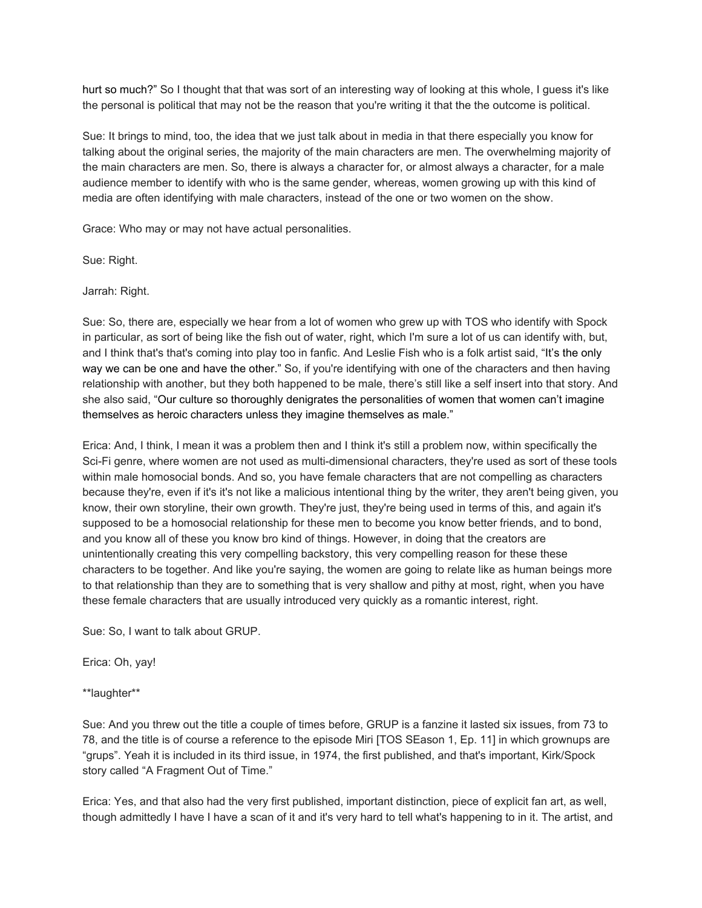hurt so much?" So I thought that that was sort of an interesting way of looking at this whole, I guess it's like the personal is political that may not be the reason that you're writing it that the the outcome is political.

Sue: It brings to mind, too, the idea that we just talk about in media in that there especially you know for talking about the original series, the majority of the main characters are men. The overwhelming majority of the main characters are men. So, there is always a character for, or almost always a character, for a male audience member to identify with who is the same gender, whereas, women growing up with this kind of media are often identifying with male characters, instead of the one or two women on the show.

Grace: Who may or may not have actual personalities.

Sue: Right.

Jarrah: Right.

Sue: So, there are, especially we hear from a lot of women who grew up with TOS who identify with Spock in particular, as sort of being like the fish out of water, right, which I'm sure a lot of us can identify with, but, and I think that's that's coming into play too in fanfic. And Leslie Fish who is a folk artist said, "It's the only way we can be one and have the other." So, if you're identifying with one of the characters and then having relationship with another, but they both happened to be male, there's still like a self insert into that story. And she also said, "Our culture so thoroughly denigrates the personalities of women that women can't imagine themselves as heroic characters unless they imagine themselves as male."

Erica: And, I think, I mean it was a problem then and I think it's still a problem now, within specifically the Sci-Fi genre, where women are not used as multi-dimensional characters, they're used as sort of these tools within male homosocial bonds. And so, you have female characters that are not compelling as characters because they're, even if it's it's not like a malicious intentional thing by the writer, they aren't being given, you know, their own storyline, their own growth. They're just, they're being used in terms of this, and again it's supposed to be a homosocial relationship for these men to become you know better friends, and to bond, and you know all of these you know bro kind of things. However, in doing that the creators are unintentionally creating this very compelling backstory, this very compelling reason for these these characters to be together. And like you're saying, the women are going to relate like as human beings more to that relationship than they are to something that is very shallow and pithy at most, right, when you have these female characters that are usually introduced very quickly as a romantic interest, right.

Sue: So, I want to talk about GRUP.

Erica: Oh, yay!

\*\*laughter\*\*

Sue: And you threw out the title a couple of times before, GRUP is a fanzine it lasted six issues, from 73 to 78, and the title is of course a reference to the episode Miri [TOS SEason 1, Ep. 11] in which grownups are "grups". Yeah it is included in its third issue, in 1974, the first published, and that's important, Kirk/Spock story called "A Fragment Out of Time."

Erica: Yes, and that also had the very first published, important distinction, piece of explicit fan art, as well, though admittedly I have I have a scan of it and it's very hard to tell what's happening to in it. The artist, and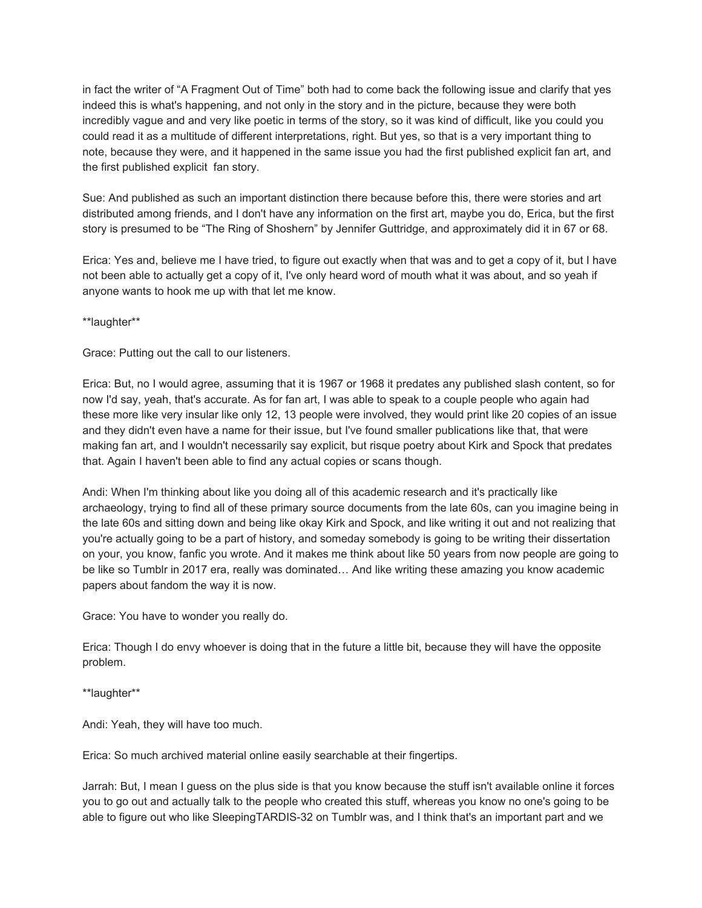in fact the writer of "A Fragment Out of Time" both had to come back the following issue and clarify that yes indeed this is what's happening, and not only in the story and in the picture, because they were both incredibly vague and and very like poetic in terms of the story, so it was kind of difficult, like you could you could read it as a multitude of different interpretations, right. But yes, so that is a very important thing to note, because they were, and it happened in the same issue you had the first published explicit fan art, and the first published explicit fan story.

Sue: And published as such an important distinction there because before this, there were stories and art distributed among friends, and I don't have any information on the first art, maybe you do, Erica, but the first story is presumed to be "The Ring of Shoshern" by Jennifer Guttridge, and approximately did it in 67 or 68.

Erica: Yes and, believe me I have tried, to figure out exactly when that was and to get a copy of it, but I have not been able to actually get a copy of it, I've only heard word of mouth what it was about, and so yeah if anyone wants to hook me up with that let me know.

\*\*laughter\*\*

Grace: Putting out the call to our listeners.

Erica: But, no I would agree, assuming that it is 1967 or 1968 it predates any published slash content, so for now I'd say, yeah, that's accurate. As for fan art, I was able to speak to a couple people who again had these more like very insular like only 12, 13 people were involved, they would print like 20 copies of an issue and they didn't even have a name for their issue, but I've found smaller publications like that, that were making fan art, and I wouldn't necessarily say explicit, but risque poetry about Kirk and Spock that predates that. Again I haven't been able to find any actual copies or scans though.

Andi: When I'm thinking about like you doing all of this academic research and it's practically like archaeology, trying to find all of these primary source documents from the late 60s, can you imagine being in the late 60s and sitting down and being like okay Kirk and Spock, and like writing it out and not realizing that you're actually going to be a part of history, and someday somebody is going to be writing their dissertation on your, you know, fanfic you wrote. And it makes me think about like 50 years from now people are going to be like so Tumblr in 2017 era, really was dominated… And like writing these amazing you know academic papers about fandom the way it is now.

Grace: You have to wonder you really do.

Erica: Though I do envy whoever is doing that in the future a little bit, because they will have the opposite problem.

\*\*laughter\*\*

Andi: Yeah, they will have too much.

Erica: So much archived material online easily searchable at their fingertips.

Jarrah: But, I mean I guess on the plus side is that you know because the stuff isn't available online it forces you to go out and actually talk to the people who created this stuff, whereas you know no one's going to be able to figure out who like SleepingTARDIS-32 on Tumblr was, and I think that's an important part and we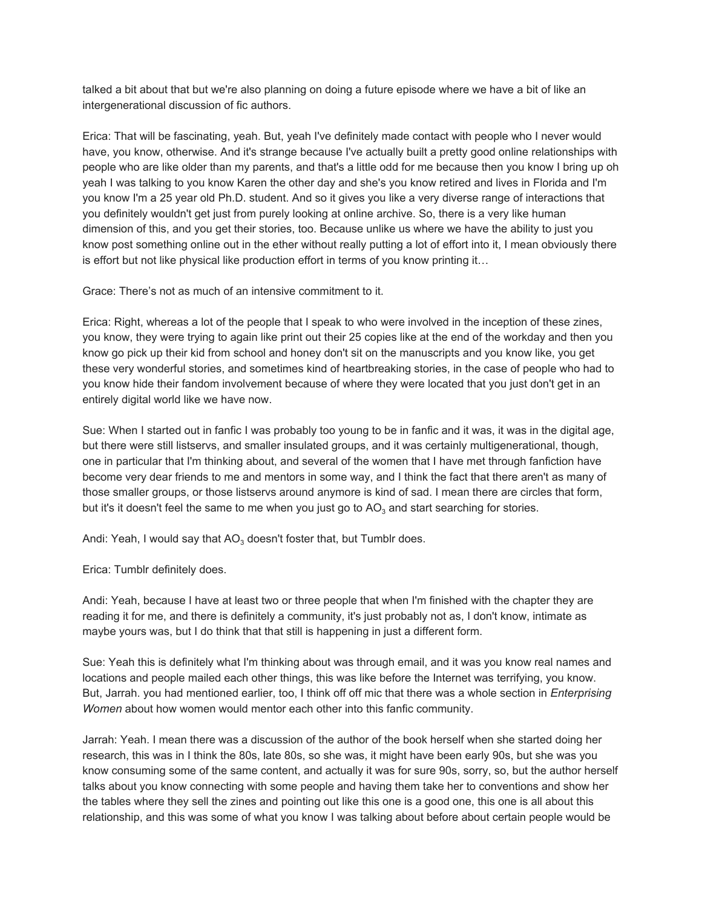talked a bit about that but we're also planning on doing a future episode where we have a bit of like an intergenerational discussion of fic authors.

Erica: That will be fascinating, yeah. But, yeah I've definitely made contact with people who I never would have, you know, otherwise. And it's strange because I've actually built a pretty good online relationships with people who are like older than my parents, and that's a little odd for me because then you know I bring up oh yeah I was talking to you know Karen the other day and she's you know retired and lives in Florida and I'm you know I'm a 25 year old Ph.D. student. And so it gives you like a very diverse range of interactions that you definitely wouldn't get just from purely looking at online archive. So, there is a very like human dimension of this, and you get their stories, too. Because unlike us where we have the ability to just you know post something online out in the ether without really putting a lot of effort into it, I mean obviously there is effort but not like physical like production effort in terms of you know printing it…

Grace: There's not as much of an intensive commitment to it.

Erica: Right, whereas a lot of the people that I speak to who were involved in the inception of these zines, you know, they were trying to again like print out their 25 copies like at the end of the workday and then you know go pick up their kid from school and honey don't sit on the manuscripts and you know like, you get these very wonderful stories, and sometimes kind of heartbreaking stories, in the case of people who had to you know hide their fandom involvement because of where they were located that you just don't get in an entirely digital world like we have now.

Sue: When I started out in fanfic I was probably too young to be in fanfic and it was, it was in the digital age, but there were still listservs, and smaller insulated groups, and it was certainly multigenerational, though, one in particular that I'm thinking about, and several of the women that I have met through fanfiction have become very dear friends to me and mentors in some way, and I think the fact that there aren't as many of those smaller groups, or those listservs around anymore is kind of sad. I mean there are circles that form, but it's it doesn't feel the same to me when you just go to AO<sub>3</sub> and start searching for stories.

Andi: Yeah, I would say that AO $_3$  doesn't foster that, but Tumblr does.

Erica: Tumblr definitely does.

Andi: Yeah, because I have at least two or three people that when I'm finished with the chapter they are reading it for me, and there is definitely a community, it's just probably not as, I don't know, intimate as maybe yours was, but I do think that that still is happening in just a different form.

Sue: Yeah this is definitely what I'm thinking about was through email, and it was you know real names and locations and people mailed each other things, this was like before the Internet was terrifying, you know. But, Jarrah. you had mentioned earlier, too, I think off off mic that there was a whole section in *Enterprising Women* about how women would mentor each other into this fanfic community.

Jarrah: Yeah. I mean there was a discussion of the author of the book herself when she started doing her research, this was in I think the 80s, late 80s, so she was, it might have been early 90s, but she was you know consuming some of the same content, and actually it was for sure 90s, sorry, so, but the author herself talks about you know connecting with some people and having them take her to conventions and show her the tables where they sell the zines and pointing out like this one is a good one, this one is all about this relationship, and this was some of what you know I was talking about before about certain people would be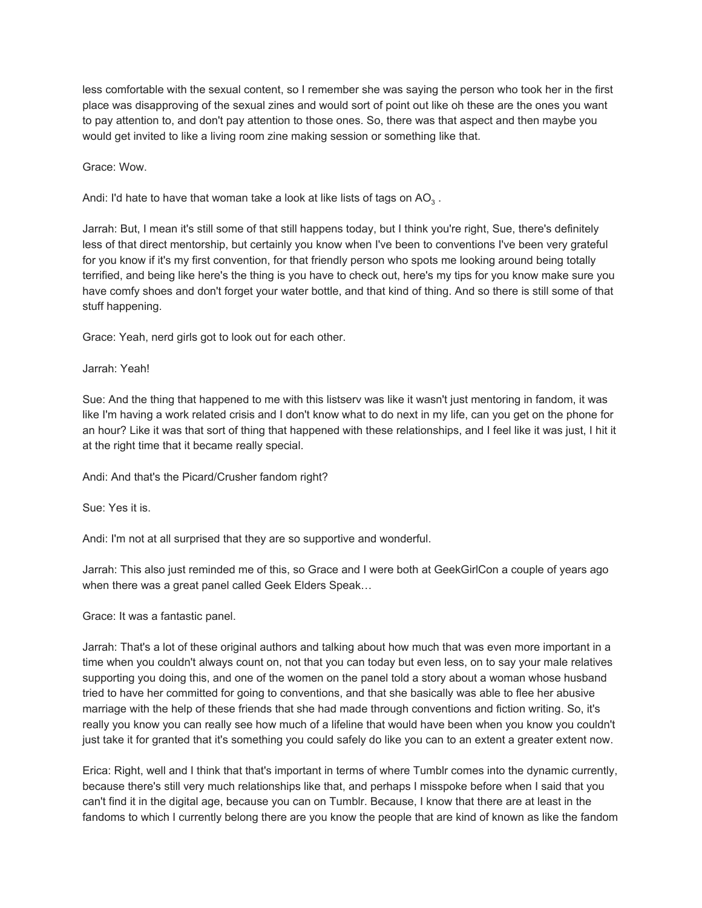less comfortable with the sexual content, so I remember she was saying the person who took her in the first place was disapproving of the sexual zines and would sort of point out like oh these are the ones you want to pay attention to, and don't pay attention to those ones. So, there was that aspect and then maybe you would get invited to like a living room zine making session or something like that.

Grace: Wow.

Andi: I'd hate to have that woman take a look at like lists of tags on AO $_3$  .

Jarrah: But, I mean it's still some of that still happens today, but I think you're right, Sue, there's definitely less of that direct mentorship, but certainly you know when I've been to conventions I've been very grateful for you know if it's my first convention, for that friendly person who spots me looking around being totally terrified, and being like here's the thing is you have to check out, here's my tips for you know make sure you have comfy shoes and don't forget your water bottle, and that kind of thing. And so there is still some of that stuff happening.

Grace: Yeah, nerd girls got to look out for each other.

### Jarrah: Yeah!

Sue: And the thing that happened to me with this listserv was like it wasn't just mentoring in fandom, it was like I'm having a work related crisis and I don't know what to do next in my life, can you get on the phone for an hour? Like it was that sort of thing that happened with these relationships, and I feel like it was just, I hit it at the right time that it became really special.

Andi: And that's the Picard/Crusher fandom right?

Sue: Yes it is.

Andi: I'm not at all surprised that they are so supportive and wonderful.

Jarrah: This also just reminded me of this, so Grace and I were both at GeekGirlCon a couple of years ago when there was a great panel called Geek Elders Speak…

Grace: It was a fantastic panel.

Jarrah: That's a lot of these original authors and talking about how much that was even more important in a time when you couldn't always count on, not that you can today but even less, on to say your male relatives supporting you doing this, and one of the women on the panel told a story about a woman whose husband tried to have her committed for going to conventions, and that she basically was able to flee her abusive marriage with the help of these friends that she had made through conventions and fiction writing. So, it's really you know you can really see how much of a lifeline that would have been when you know you couldn't just take it for granted that it's something you could safely do like you can to an extent a greater extent now.

Erica: Right, well and I think that that's important in terms of where Tumblr comes into the dynamic currently, because there's still very much relationships like that, and perhaps I misspoke before when I said that you can't find it in the digital age, because you can on Tumblr. Because, I know that there are at least in the fandoms to which I currently belong there are you know the people that are kind of known as like the fandom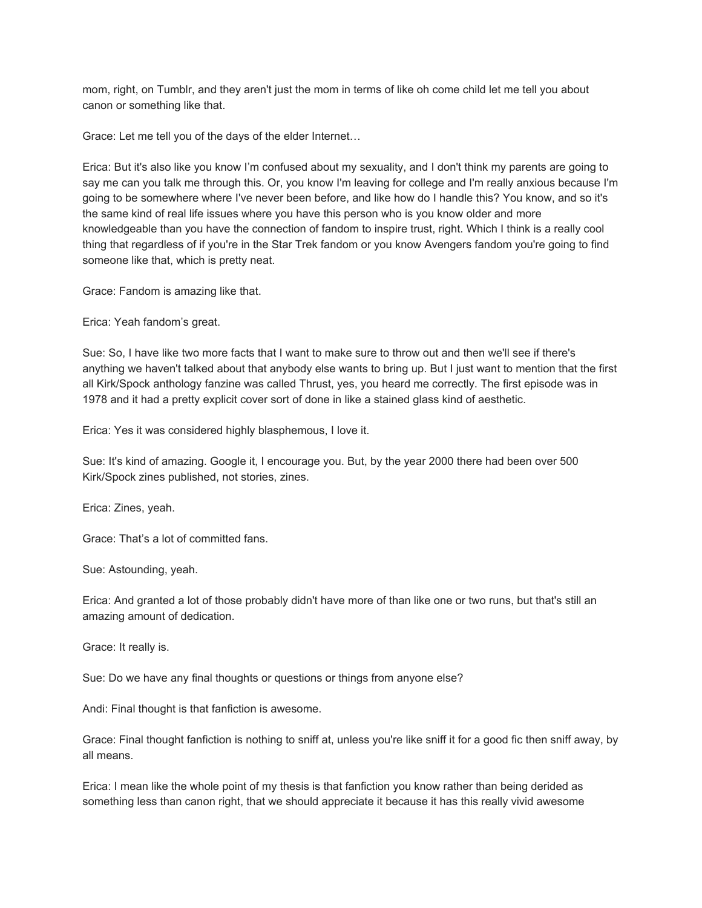mom, right, on Tumblr, and they aren't just the mom in terms of like oh come child let me tell you about canon or something like that.

Grace: Let me tell you of the days of the elder Internet…

Erica: But it's also like you know I'm confused about my sexuality, and I don't think my parents are going to say me can you talk me through this. Or, you know I'm leaving for college and I'm really anxious because I'm going to be somewhere where I've never been before, and like how do I handle this? You know, and so it's the same kind of real life issues where you have this person who is you know older and more knowledgeable than you have the connection of fandom to inspire trust, right. Which I think is a really cool thing that regardless of if you're in the Star Trek fandom or you know Avengers fandom you're going to find someone like that, which is pretty neat.

Grace: Fandom is amazing like that.

Erica: Yeah fandom's great.

Sue: So, I have like two more facts that I want to make sure to throw out and then we'll see if there's anything we haven't talked about that anybody else wants to bring up. But I just want to mention that the first all Kirk/Spock anthology fanzine was called Thrust, yes, you heard me correctly. The first episode was in 1978 and it had a pretty explicit cover sort of done in like a stained glass kind of aesthetic.

Erica: Yes it was considered highly blasphemous, I love it.

Sue: It's kind of amazing. Google it, I encourage you. But, by the year 2000 there had been over 500 Kirk/Spock zines published, not stories, zines.

Erica: Zines, yeah.

Grace: That's a lot of committed fans.

Sue: Astounding, yeah.

Erica: And granted a lot of those probably didn't have more of than like one or two runs, but that's still an amazing amount of dedication.

Grace: It really is.

Sue: Do we have any final thoughts or questions or things from anyone else?

Andi: Final thought is that fanfiction is awesome.

Grace: Final thought fanfiction is nothing to sniff at, unless you're like sniff it for a good fic then sniff away, by all means.

Erica: I mean like the whole point of my thesis is that fanfiction you know rather than being derided as something less than canon right, that we should appreciate it because it has this really vivid awesome